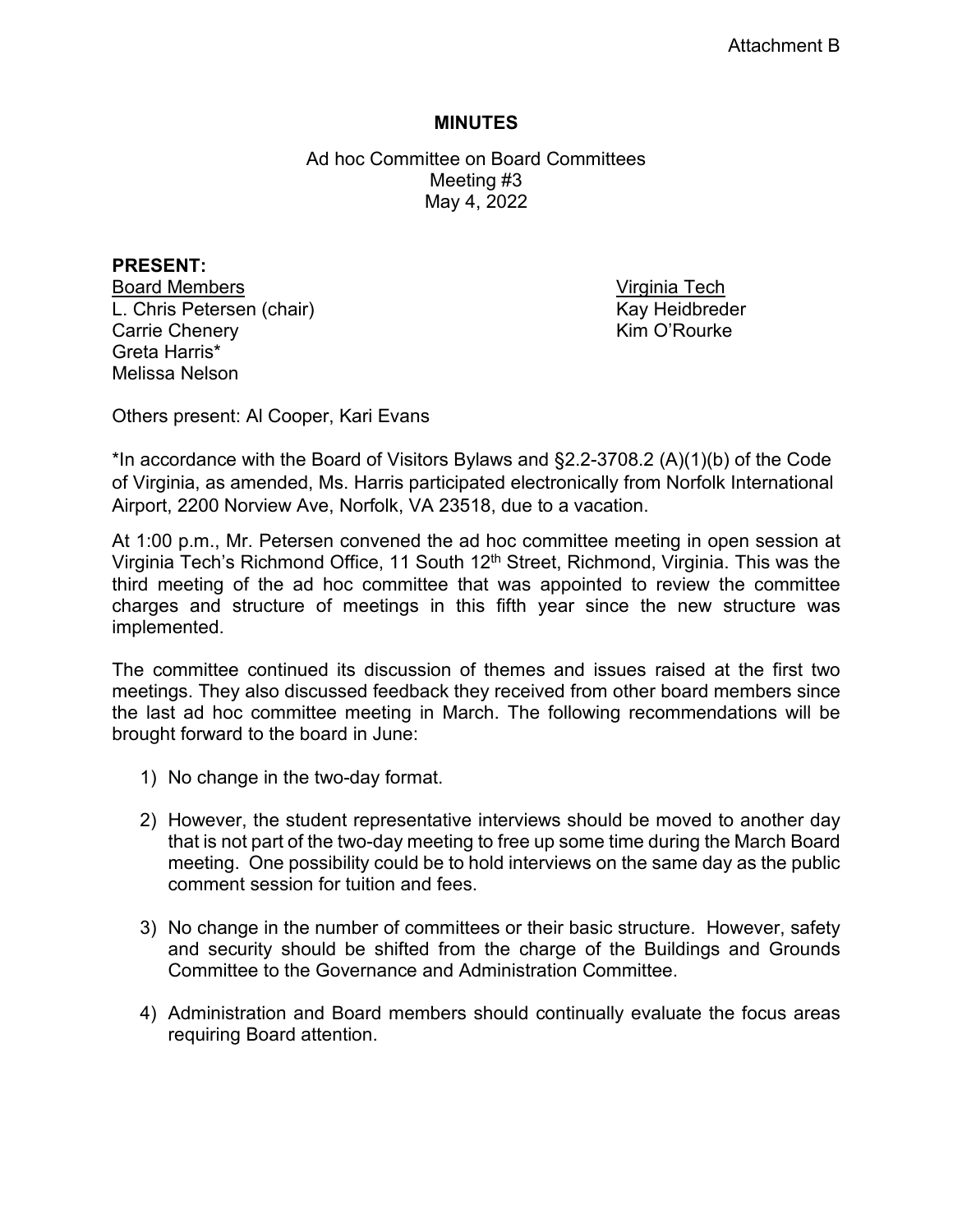## **MINUTES**

Ad hoc Committee on Board Committees Meeting #3 May 4, 2022

**PRESENT:**  Board Members **Virginia Tech** L. Chris Petersen (chair) Kay Heidbreder Carrie Chenery **Kim O'Rourke** Greta Harris\* Melissa Nelson

Others present: Al Cooper, Kari Evans

\*In accordance with the Board of Visitors Bylaws and §2.2-3708.2 (A)(1)(b) of the Code of Virginia, as amended, Ms. Harris participated electronically from Norfolk International Airport, 2200 Norview Ave, Norfolk, VA 23518, due to a vacation.

At 1:00 p.m., Mr. Petersen convened the ad hoc committee meeting in open session at Virginia Tech's Richmond Office, 11 South 12<sup>th</sup> Street, Richmond, Virginia. This was the third meeting of the ad hoc committee that was appointed to review the committee charges and structure of meetings in this fifth year since the new structure was implemented.

The committee continued its discussion of themes and issues raised at the first two meetings. They also discussed feedback they received from other board members since the last ad hoc committee meeting in March. The following recommendations will be brought forward to the board in June:

- 1) No change in the two-day format.
- 2) However, the student representative interviews should be moved to another day that is not part of the two-day meeting to free up some time during the March Board meeting. One possibility could be to hold interviews on the same day as the public comment session for tuition and fees.
- 3) No change in the number of committees or their basic structure. However, safety and security should be shifted from the charge of the Buildings and Grounds Committee to the Governance and Administration Committee.
- 4) Administration and Board members should continually evaluate the focus areas requiring Board attention.